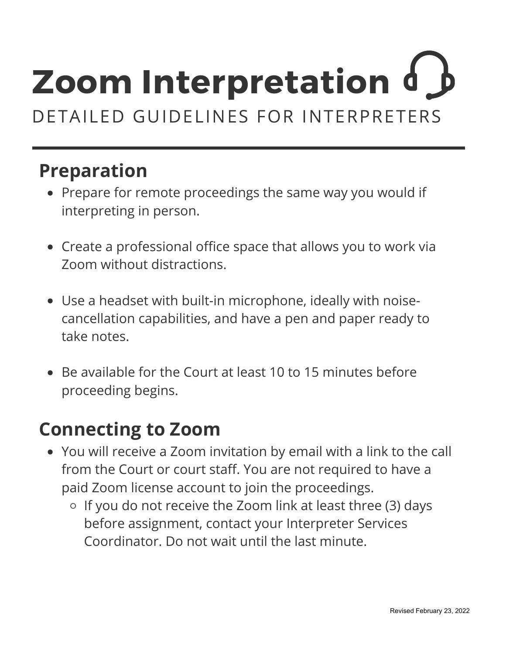#### **Preparation**

- Prepare for remote proceedings the same way you would if interpreting in person.
- Create a professional office space that allows you to work via Zoom without distractions.
- Use a headset with built-in microphone, ideally with noisecancellation capabilities, and have a pen and paper ready to take notes.
- Be available for the Court at least 10 to 15 minutes before proceeding begins.

#### **Connecting to Zoom**

- You will receive a Zoom invitation by email with a link to the call from the Court or court staff. You are not required to have a paid Zoom license account to join the proceedings.
	- $\circ$  If you do not receive the Zoom link at least three (3) days before assignment, contact your Interpreter Services Coordinator. Do not wait until the last minute.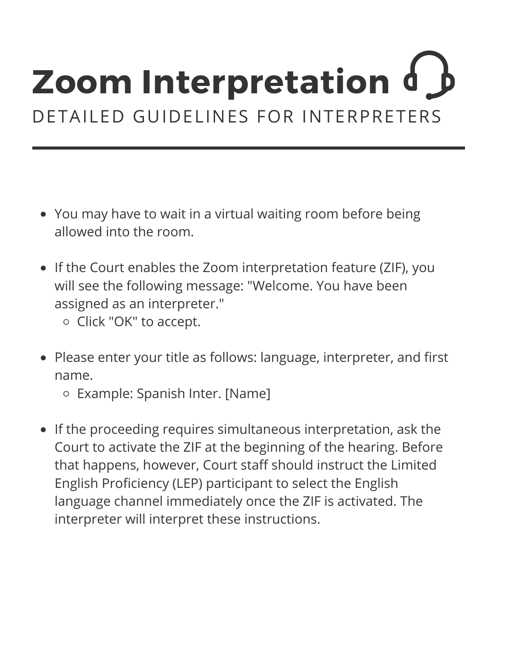- You may have to wait in a virtual waiting room before being allowed into the room.
- If the Court enables the Zoom interpretation feature (ZIF), you will see the following message: "Welcome. You have been assigned as an interpreter."
	- o Click "OK" to accept.
- Please enter your title as follows: language, interpreter, and first name.
	- Example: Spanish Inter. [Name]
- If the proceeding requires simultaneous interpretation, ask the Court to activate the ZIF at the beginning of the hearing. Before that happens, however, Court staff should instruct the Limited English Proficiency (LEP) participant to select the English language channel immediately once the ZIF is activated. The interpreter will interpret these instructions.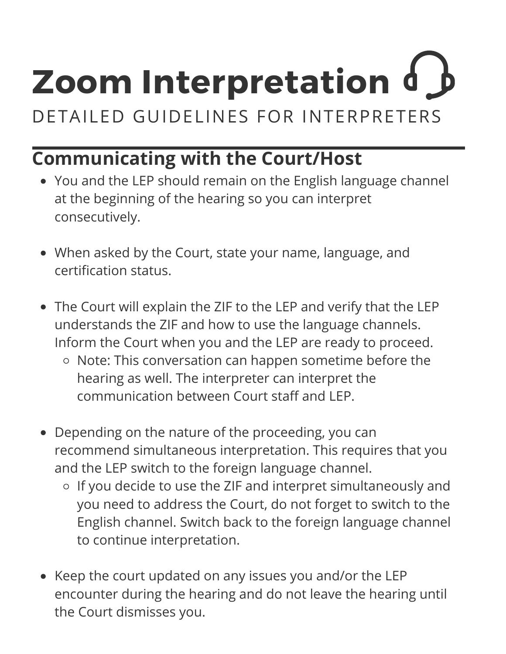## **Zoom Interpretation**

DETAILED GUIDELINES FOR INTERPRETERS

### **Communicating with the Court/Host**

- You and the LEP should remain on the English language channel at the beginning of the hearing so you can interpret consecutively.
- When asked by the Court, state your name, language, and certification status.
- The Court will explain the ZIF to the LEP and verify that the LEP understands the ZIF and how to use the language channels. Inform the Court when you and the LEP are ready to proceed.
	- o Note: This conversation can happen sometime before the hearing as well. The interpreter can interpret the communication between Court staff and LEP.
- Depending on the nature of the proceeding, you can recommend simultaneous interpretation. This requires that you and the LEP switch to the foreign language channel.
	- If you decide to use the ZIF and interpret simultaneously and you need to address the Court, do not forget to switch to the English channel. Switch back to the foreign language channel to continue interpretation.
- Keep the court updated on any issues you and/or the LEP encounter during the hearing and do not leave the hearing until the Court dismisses you.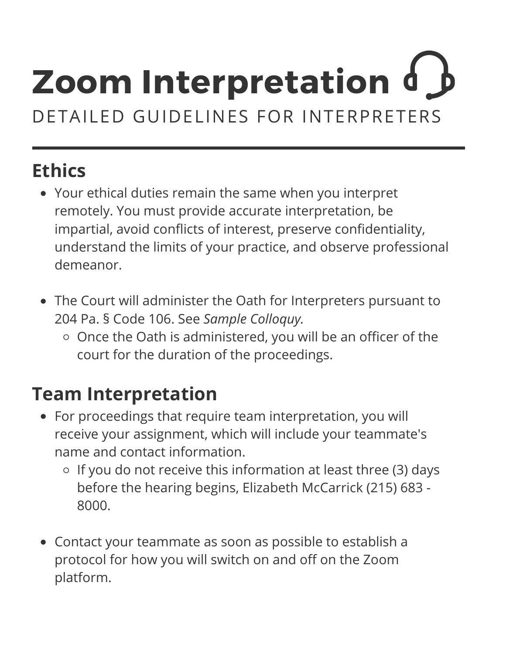### **Ethics**

- Your ethical duties remain the same when you interpret remotely. You must provide accurate interpretation, be impartial, avoid conflicts of interest, preserve confidentiality, understand the limits of your practice, and observe professional demeanor.
- The Court will administer the Oath for Interpreters pursuant to 204 Pa. § Code 106. See *Sample Colloquy.*
	- o Once the Oath is administered, you will be an officer of the court for the duration of the proceedings.

### **Team Interpretation**

- For proceedings that require team interpretation, you will receive your assignment, which will include your teammate's name and contact information.
	- $\circ$  If you do not receive this information at least three (3) days before the hearing begins, Elizabeth McCarrick (215) 683 - 8000.
- Contact your teammate as soon as possible to establish a protocol for how you will switch on and off on the Zoom platform.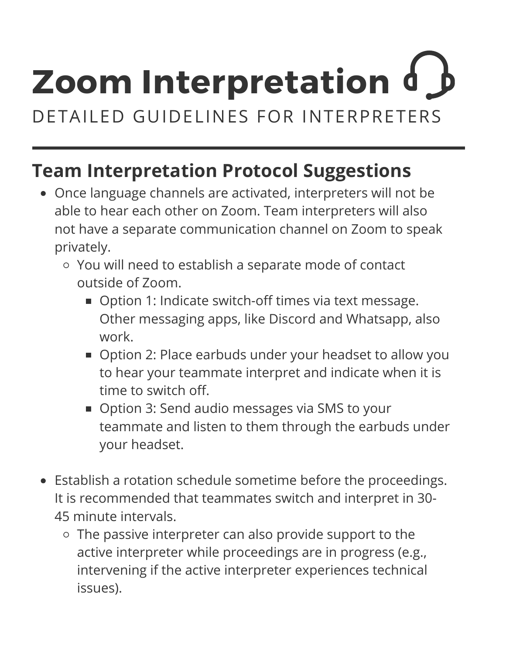# **Zoom Interpretation**

DETAILED GUIDELINES FOR INTERPRETERS

### **Team Interpretation Protocol Suggestions**

- Once language channels are activated, interpreters will not be able to hear each other on Zoom. Team interpreters will also not have a separate communication channel on Zoom to speak privately.
	- You will need to establish a separate mode of contact outside of Zoom.
		- Option 1: Indicate switch-off times via text message. Other messaging apps, like Discord and Whatsapp, also work.
		- **Department 2: Place earbuds under your headset to allow you** to hear your teammate interpret and indicate when it is time to switch off.
		- **Option 3: Send audio messages via SMS to your** teammate and listen to them through the earbuds under your headset.
- Establish a rotation schedule sometime before the proceedings. It is recommended that teammates switch and interpret in 30- 45 minute intervals.
	- $\circ$  The passive interpreter can also provide support to the active interpreter while proceedings are in progress (e.g., intervening if the active interpreter experiences technical issues).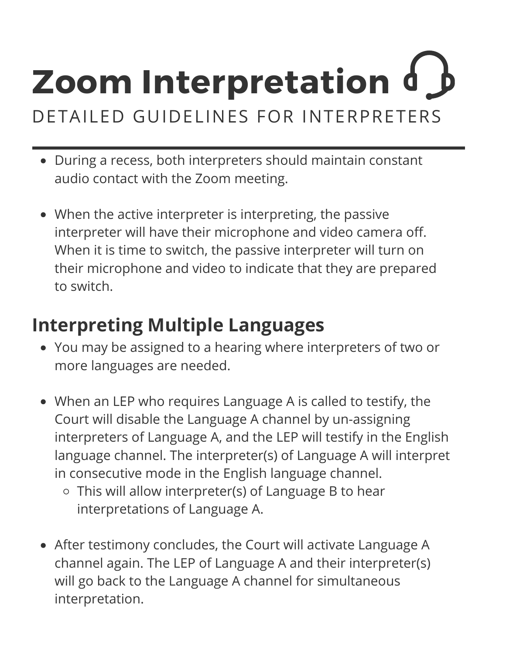- During a recess, both interpreters should maintain constant audio contact with the Zoom meeting.
- When the active interpreter is interpreting, the passive interpreter will have their microphone and video camera off. When it is time to switch, the passive interpreter will turn on their microphone and video to indicate that they are prepared to switch.

### **Interpreting Multiple Languages**

- You may be assigned to a hearing where interpreters of two or more languages are needed.
- When an LEP who requires Language A is called to testify, the Court will disable the Language A channel by un-assigning interpreters of Language A, and the LEP will testify in the English language channel. The interpreter(s) of Language A will interpret in consecutive mode in the English language channel.
	- This will allow interpreter(s) of Language B to hear interpretations of Language A.
- After testimony concludes, the Court will activate Language A channel again. The LEP of Language A and their interpreter(s) will go back to the Language A channel for simultaneous interpretation.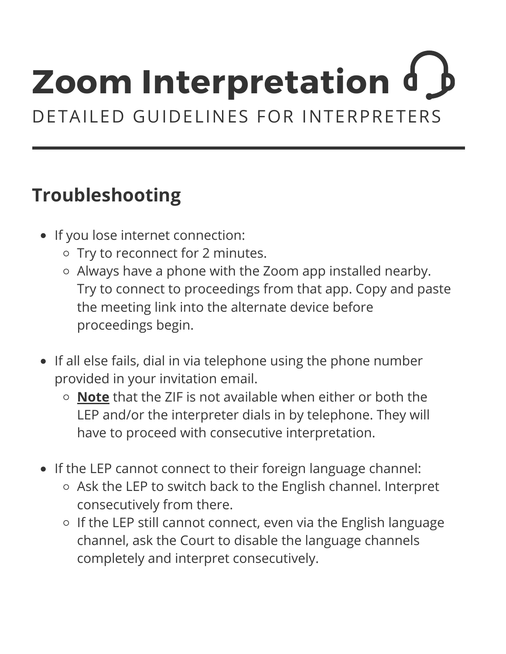### **Troubleshooting**

- If you lose internet connection:
	- o Try to reconnect for 2 minutes.
	- Always have a phone with the Zoom app installed nearby. Try to connect to proceedings from that app. Copy and paste the meeting link into the alternate device before proceedings begin.
- If all else fails, dial in via telephone using the phone number provided in your invitation email.
	- **Note** that the ZIF is not available when either or both the LEP and/or the interpreter dials in by telephone. They will have to proceed with consecutive interpretation.
- If the LEP cannot connect to their foreign language channel:
	- o Ask the LEP to switch back to the English channel. Interpret consecutively from there.
	- $\circ$  If the LEP still cannot connect, even via the English language channel, ask the Court to disable the language channels completely and interpret consecutively.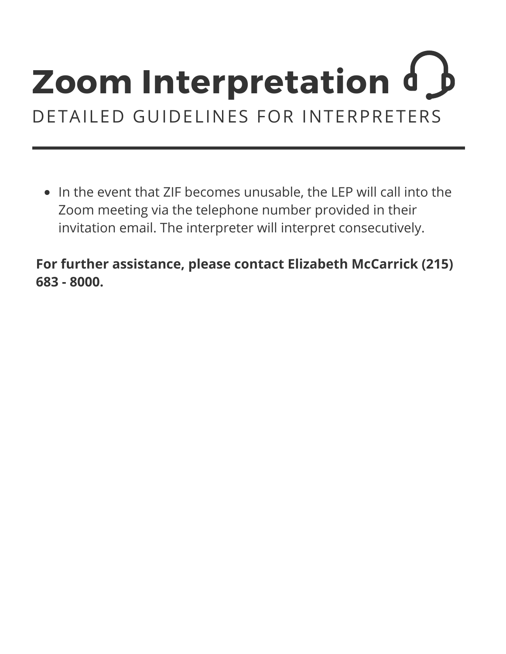• In the event that ZIF becomes unusable, the LEP will call into the Zoom meeting via the telephone number provided in their invitation email. The interpreter will interpret consecutively.

**For further assistance, please contact Elizabeth McCarrick (215) 683 - 8000.**